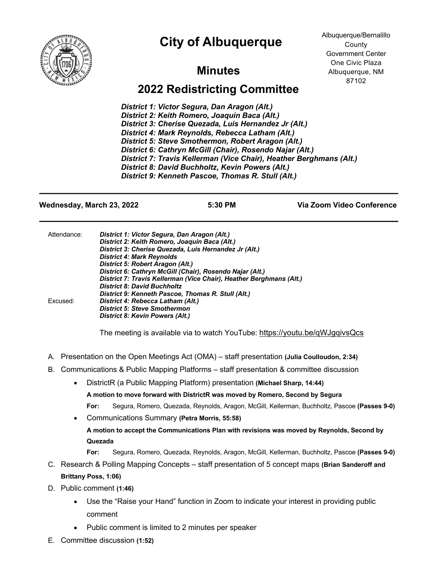## **City of Albuquerque**



Albuquerque/Bernalillo County Government Center One Civic Plaza Albuquerque, NM 87102

## **Minutes**

## **2022 Redistricting Committee**

*District 1: Victor Segura, Dan Aragon (Alt.) District 2: Keith Romero, Joaquin Baca (Alt.) District 3: Cherise Quezada, Luis Hernandez Jr (Alt.) District 4: Mark Reynolds, Rebecca Latham (Alt.) District 5: Steve Smothermon, Robert Aragon (Alt.) District 6: Cathryn McGill (Chair), Rosendo Najar (Alt.) District 7: Travis Kellerman (Vice Chair), Heather Berghmans (Alt.) District 8: David Buchholtz, Kevin Powers (Alt.) District 9: Kenneth Pascoe, Thomas R. Stull (Alt.)*

**Wednesday, March 23, 2022 5:30 PM Via Zoom Video Conference**

| Attendance: | District 1: Victor Segura, Dan Aragon (Alt.)                        |
|-------------|---------------------------------------------------------------------|
|             | District 2: Keith Romero, Joaquin Baca (Alt.)                       |
|             | District 3: Cherise Quezada, Luis Hernandez Jr (Alt.)               |
|             | <b>District 4: Mark Reynolds</b>                                    |
|             | District 5: Robert Aragon (Alt.)                                    |
|             | District 6: Cathryn McGill (Chair), Rosendo Najar (Alt.)            |
|             | District 7: Travis Kellerman (Vice Chair), Heather Berghmans (Alt.) |
|             | <b>District 8: David Buchholtz</b>                                  |
|             | District 9: Kenneth Pascoe, Thomas R. Stull (Alt.)                  |
| Excused:    | District 4: Rebecca Latham (Alt.)                                   |
|             | <b>District 5: Steve Smothermon</b>                                 |
|             | District 8: Kevin Powers (Alt.)                                     |
|             |                                                                     |

The meeting is available via to watch YouTube: https://youtu.be/qWJgqivsQcs

- A. Presentation on the Open Meetings Act (OMA) staff presentation **(Julia Coulloudon, 2:34)**
- B. Communications & Public Mapping Platforms staff presentation & committee discussion
	- DistrictR (a Public Mapping Platform) presentation **(Michael Sharp, 14:44)**
		- **A motion to move forward with DistrictR was moved by Romero, Second by Segura For:** Segura, Romero, Quezada, Reynolds, Aragon, McGill, Kellerman, Buchholtz, Pascoe **(Passes 9-0)**
	- Communications Summary **(Petra Morris, 55:58) A motion to accept the Communications Plan with revisions was moved by Reynolds, Second by Quezada**
		- **For:** Segura, Romero, Quezada, Reynolds, Aragon, McGill, Kellerman, Buchholtz, Pascoe **(Passes 9-0)**
- C. Research & Polling Mapping Concepts staff presentation of 5 concept maps **(Brian Sanderoff and Brittany Poss, 1:06)**
- D. Public comment **(1:46)**
	- Use the "Raise your Hand" function in Zoom to indicate your interest in providing public comment
	- Public comment is limited to 2 minutes per speaker
- E. Committee discussion **(1:52)**